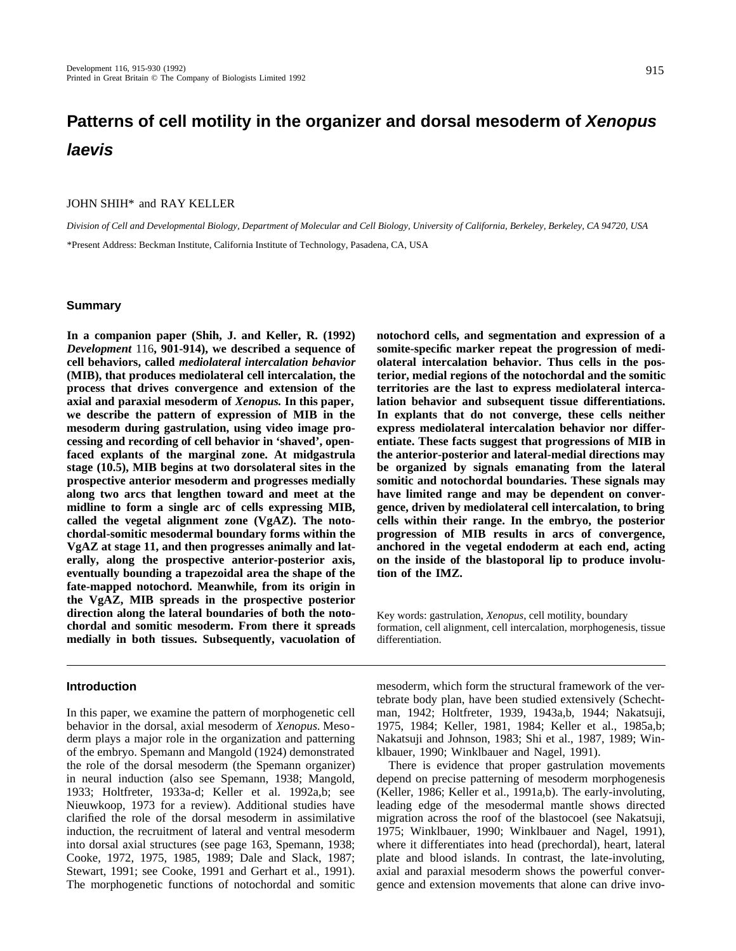# **Patterns of cell motility in the organizer and dorsal mesoderm of Xenopus laevis**

# JOHN SHIH\* and RAY KELLER

*Division of Cell and Developmental Biology, Department of Molecular and Cell Biology, University of California, Berkeley, Berkeley, CA 94720, USA* \*Present Address: Beckman Institute, California Institute of Technology, Pasadena, CA, USA

# **Summary**

**In a companion paper (Shih, J. and Keller, R. (1992)** *Development* 116**, 901-914), we described a sequence of cell behaviors, called** *mediolateral intercalation behavior* **(MIB), that produces mediolateral cell intercalation, the process that drives convergence and extension of the axial and paraxial mesoderm of** *Xenopus.* **In this paper, we describe the pattern of expression of MIB in the mesoderm during gastrulation, using video image processing and recording of cell behavior in 'shaved', openfaced explants of the marginal zone. At midgastrula stage (10.5), MIB begins at two dorsolateral sites in the prospective anterior mesoderm and progresses medially along two arcs that lengthen toward and meet at the midline to form a single arc of cells expressing MIB, called the vegetal alignment zone (VgAZ). The notochordal-somitic mesodermal boundary forms within the VgAZ at stage 11, and then progresses animally and laterally, along the prospective anterior-posterior axis, eventually bounding a trapezoidal area the shape of the fate-mapped notochord. Meanwhile, from its origin in the VgAZ, MIB spreads in the prospective posterior direction along the lateral boundaries of both the notochordal and somitic mesoderm. From there it spreads medially in both tissues. Subsequently, vacuolation of**

### **Introduction**

In this paper, we examine the pattern of morphogenetic cell behavior in the dorsal, axial mesoderm of *Xenopus*. Mesoderm plays a major role in the organization and patterning of the embryo. Spemann and Mangold (1924) demonstrated the role of the dorsal mesoderm (the Spemann organizer) in neural induction (also see Spemann, 1938; Mangold, 1933; Holtfreter, 1933a-d; Keller et al. 1992a,b; see Nieuwkoop, 1973 for a review). Additional studies have clarified the role of the dorsal mesoderm in assimilative induction, the recruitment of lateral and ventral mesoderm into dorsal axial structures (see page 163, Spemann, 1938; Cooke, 1972, 1975, 1985, 1989; Dale and Slack, 1987; Stewart, 1991; see Cooke, 1991 and Gerhart et al., 1991). The morphogenetic functions of notochordal and somitic **notochord cells, and segmentation and expression of a somite-specific marker repeat the progression of mediolateral intercalation behavior. Thus cells in the posterior, medial regions of the notochordal and the somitic territories are the last to express mediolateral intercalation behavior and subsequent tissue differentiations. In explants that do not converge, these cells neither express mediolateral intercalation behavior nor differentiate. These facts suggest that progressions of MIB in the anterior-posterior and lateral-medial directions may be organized by signals emanating from the lateral somitic and notochordal boundaries. These signals may have limited range and may be dependent on convergence, driven by mediolateral cell intercalation, to bring cells within their range. In the embryo, the posterior progression of MIB results in arcs of convergence, anchored in the vegetal endoderm at each end, acting on the inside of the blastoporal lip to produce involution of the IMZ.**

Key words: gastrulation, *Xenopus*, cell motility, boundary formation, cell alignment, cell intercalation, morphogenesis, tissue differentiation.

mesoderm, which form the structural framework of the vertebrate body plan, have been studied extensively (Schechtman, 1942; Holtfreter, 1939, 1943a,b, 1944; Nakatsuji, 1975, 1984; Keller, 1981, 1984; Keller et al., 1985a,b; Nakatsuji and Johnson, 1983; Shi et al., 1987, 1989; Winklbauer, 1990; Winklbauer and Nagel, 1991).

There is evidence that proper gastrulation movements depend on precise patterning of mesoderm morphogenesis (Keller, 1986; Keller et al., 1991a,b). The early-involuting, leading edge of the mesodermal mantle shows directed migration across the roof of the blastocoel (see Nakatsuji, 1975; Winklbauer, 1990; Winklbauer and Nagel, 1991), where it differentiates into head (prechordal), heart, lateral plate and blood islands. In contrast, the late-involuting, axial and paraxial mesoderm shows the powerful convergence and extension movements that alone can drive invo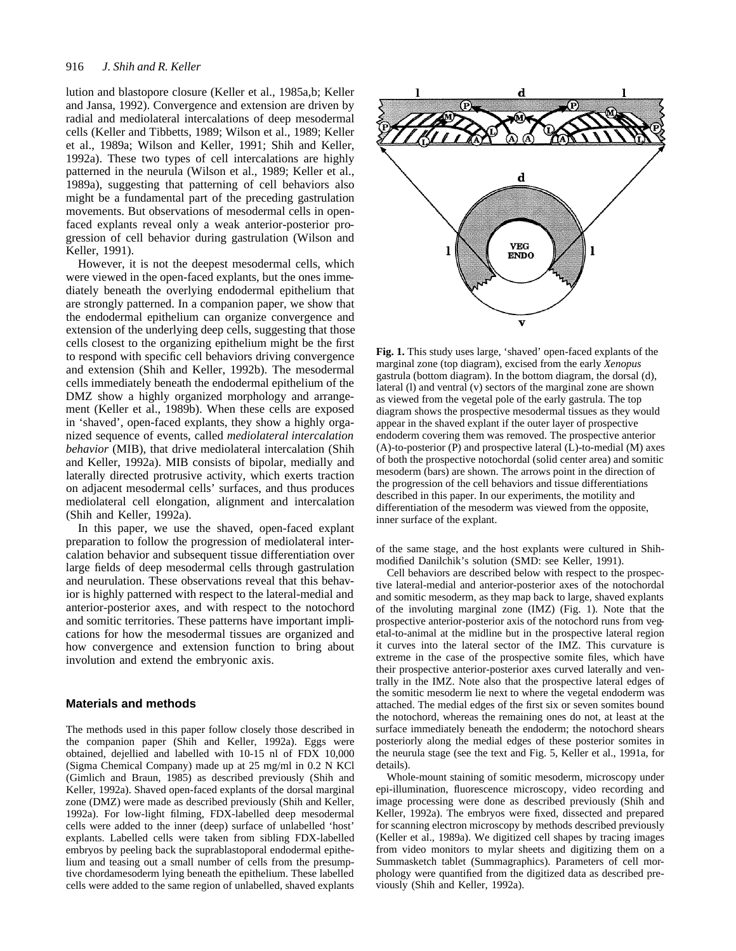lution and blastopore closure (Keller et al., 1985a,b; Keller and Jansa, 1992). Convergence and extension are driven by radial and mediolateral intercalations of deep mesodermal cells (Keller and Tibbetts, 1989; Wilson et al., 1989; Keller et al., 1989a; Wilson and Keller, 1991; Shih and Keller, 1992a). These two types of cell intercalations are highly patterned in the neurula (Wilson et al., 1989; Keller et al., 1989a), suggesting that patterning of cell behaviors also might be a fundamental part of the preceding gastrulation movements. But observations of mesodermal cells in openfaced explants reveal only a weak anterior-posterior progression of cell behavior during gastrulation (Wilson and Keller, 1991).

However, it is not the deepest mesodermal cells, which were viewed in the open-faced explants, but the ones immediately beneath the overlying endodermal epithelium that are strongly patterned. In a companion paper, we show that the endodermal epithelium can organize convergence and extension of the underlying deep cells, suggesting that those cells closest to the organizing epithelium might be the first to respond with specific cell behaviors driving convergence and extension (Shih and Keller, 1992b). The mesodermal cells immediately beneath the endodermal epithelium of the DMZ show a highly organized morphology and arrangement (Keller et al., 1989b). When these cells are exposed in 'shaved', open-faced explants, they show a highly organized sequence of events, called *mediolateral intercalation behavior* (MIB), that drive mediolateral intercalation (Shih and Keller, 1992a). MIB consists of bipolar, medially and laterally directed protrusive activity, which exerts traction on adjacent mesodermal cells' surfaces, and thus produces mediolateral cell elongation, alignment and intercalation (Shih and Keller, 1992a).

In this paper, we use the shaved, open-faced explant preparation to follow the progression of mediolateral intercalation behavior and subsequent tissue differentiation over large fields of deep mesodermal cells through gastrulation and neurulation. These observations reveal that this behavior is highly patterned with respect to the lateral-medial and anterior-posterior axes, and with respect to the notochord and somitic territories. These patterns have important implications for how the mesodermal tissues are organized and how convergence and extension function to bring about involution and extend the embryonic axis.

### **Materials and methods**

The methods used in this paper follow closely those described in the companion paper (Shih and Keller, 1992a). Eggs were obtained, dejellied and labelled with 10-15 nl of FDX 10,000 (Sigma Chemical Company) made up at 25 mg/ml in 0.2 N KCl (Gimlich and Braun, 1985) as described previously (Shih and Keller, 1992a). Shaved open-faced explants of the dorsal marginal zone (DMZ) were made as described previously (Shih and Keller, 1992a). For low-light filming, FDX-labelled deep mesodermal cells were added to the inner (deep) surface of unlabelled 'host' explants. Labelled cells were taken from sibling FDX-labelled embryos by peeling back the suprablastoporal endodermal epithelium and teasing out a small number of cells from the presumptive chordamesoderm lying beneath the epithelium. These labelled cells were added to the same region of unlabelled, shaved explants



**Fig. 1.** This study uses large, 'shaved' open-faced explants of the marginal zone (top diagram), excised from the early *Xenopus* gastrula (bottom diagram). In the bottom diagram, the dorsal (d), lateral (l) and ventral (v) sectors of the marginal zone are shown as viewed from the vegetal pole of the early gastrula. The top diagram shows the prospective mesodermal tissues as they would appear in the shaved explant if the outer layer of prospective endoderm covering them was removed. The prospective anterior (A)-to-posterior (P) and prospective lateral (L)-to-medial (M) axes of both the prospective notochordal (solid center area) and somitic mesoderm (bars) are shown. The arrows point in the direction of the progression of the cell behaviors and tissue differentiations described in this paper. In our experiments, the motility and differentiation of the mesoderm was viewed from the opposite, inner surface of the explant.

of the same stage, and the host explants were cultured in Shihmodified Danilchik's solution (SMD: see Keller, 1991).

Cell behaviors are described below with respect to the prospective lateral-medial and anterior-posterior axes of the notochordal and somitic mesoderm, as they map back to large, shaved explants of the involuting marginal zone (IMZ) (Fig. 1). Note that the prospective anterior-posterior axis of the notochord runs from vegetal-to-animal at the midline but in the prospective lateral region it curves into the lateral sector of the IMZ. This curvature is extreme in the case of the prospective somite files, which have their prospective anterior-posterior axes curved laterally and ventrally in the IMZ. Note also that the prospective lateral edges of the somitic mesoderm lie next to where the vegetal endoderm was attached. The medial edges of the first six or seven somites bound the notochord, whereas the remaining ones do not, at least at the surface immediately beneath the endoderm; the notochord shears posteriorly along the medial edges of these posterior somites in the neurula stage (see the text and Fig. 5, Keller et al., 1991a, for details).

Whole-mount staining of somitic mesoderm, microscopy under epi-illumination, fluorescence microscopy, video recording and image processing were done as described previously (Shih and Keller, 1992a). The embryos were fixed, dissected and prepared for scanning electron microscopy by methods described previously (Keller et al., 1989a). We digitized cell shapes by tracing images from video monitors to mylar sheets and digitizing them on a Summasketch tablet (Summagraphics). Parameters of cell morphology were quantified from the digitized data as described previously (Shih and Keller, 1992a).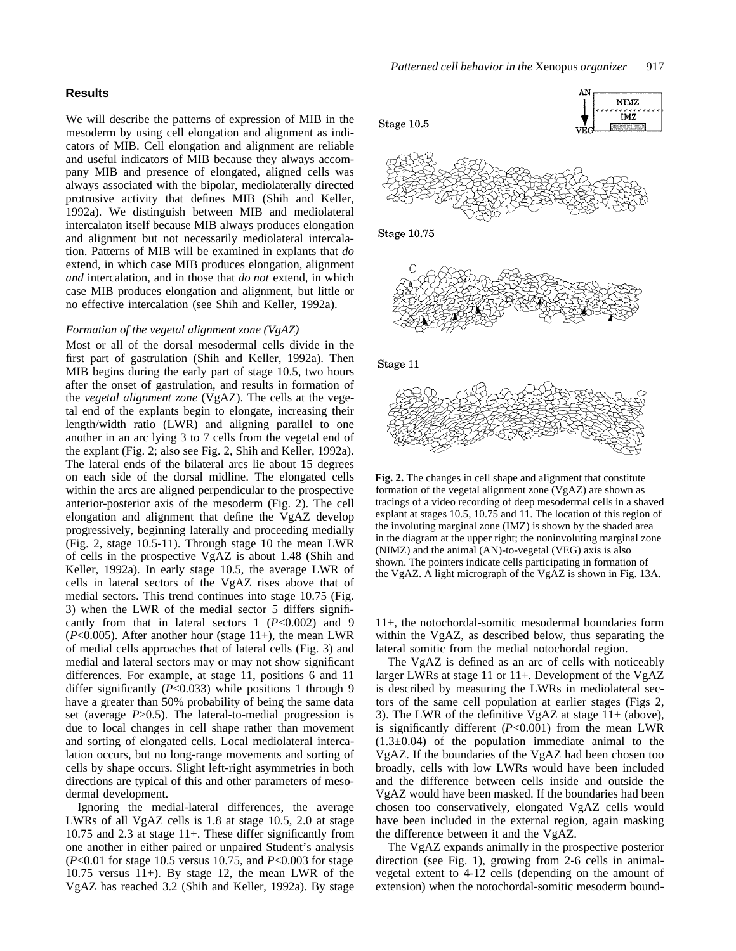# **Results**

We will describe the patterns of expression of MIB in the mesoderm by using cell elongation and alignment as indicators of MIB. Cell elongation and alignment are reliable and useful indicators of MIB because they always accompany MIB and presence of elongated, aligned cells was always associated with the bipolar, mediolaterally directed protrusive activity that defines MIB (Shih and Keller, 1992a). We distinguish between MIB and mediolateral intercalaton itself because MIB always produces elongation and alignment but not necessarily mediolateral intercalation. Patterns of MIB will be examined in explants that *do* extend, in which case MIB produces elongation, alignment *and* intercalation, and in those that *do not* extend, in which case MIB produces elongation and alignment, but little or no effective intercalation (see Shih and Keller, 1992a).

# *Formation of the vegetal alignment zone (VgAZ)*

Most or all of the dorsal mesodermal cells divide in the first part of gastrulation (Shih and Keller, 1992a). Then MIB begins during the early part of stage 10.5, two hours after the onset of gastrulation, and results in formation of the *vegetal alignment zone* (VgAZ). The cells at the vegetal end of the explants begin to elongate, increasing their length/width ratio (LWR) and aligning parallel to one another in an arc lying 3 to 7 cells from the vegetal end of the explant (Fig. 2; also see Fig. 2, Shih and Keller, 1992a). The lateral ends of the bilateral arcs lie about 15 degrees on each side of the dorsal midline. The elongated cells within the arcs are aligned perpendicular to the prospective anterior-posterior axis of the mesoderm (Fig. 2). The cell elongation and alignment that define the VgAZ develop progressively, beginning laterally and proceeding medially (Fig. 2, stage 10.5-11). Through stage 10 the mean LWR of cells in the prospective VgAZ is about 1.48 (Shih and Keller, 1992a). In early stage 10.5, the average LWR of cells in lateral sectors of the VgAZ rises above that of medial sectors. This trend continues into stage 10.75 (Fig. 3) when the LWR of the medial sector 5 differs significantly from that in lateral sectors 1 (*P*<0.002) and 9 (*P*<0.005). After another hour (stage 11+), the mean LWR of medial cells approaches that of lateral cells (Fig. 3) and medial and lateral sectors may or may not show significant differences. For example, at stage 11, positions 6 and 11 differ significantly (*P*<0.033) while positions 1 through 9 have a greater than 50% probability of being the same data set (average *P*>0.5). The lateral-to-medial progression is due to local changes in cell shape rather than movement and sorting of elongated cells. Local mediolateral intercalation occurs, but no long-range movements and sorting of cells by shape occurs. Slight left-right asymmetries in both directions are typical of this and other parameters of mesodermal development.

Ignoring the medial-lateral differences, the average LWRs of all VgAZ cells is 1.8 at stage 10.5, 2.0 at stage 10.75 and 2.3 at stage 11+. These differ significantly from one another in either paired or unpaired Student's analysis (*P*<0.01 for stage 10.5 versus 10.75, and *P*<0.003 for stage 10.75 versus 11+). By stage 12, the mean LWR of the VgAZ has reached 3.2 (Shih and Keller, 1992a). By stage



**Fig. 2.** The changes in cell shape and alignment that constitute formation of the vegetal alignment zone (VgAZ) are shown as tracings of a video recording of deep mesodermal cells in a shaved explant at stages 10.5, 10.75 and 11. The location of this region of the involuting marginal zone (IMZ) is shown by the shaded area in the diagram at the upper right; the noninvoluting marginal zone (NIMZ) and the animal (AN)-to-vegetal (VEG) axis is also shown. The pointers indicate cells participating in formation of the VgAZ. A light micrograph of the VgAZ is shown in Fig. 13A.

11+, the notochordal-somitic mesodermal boundaries form within the VgAZ, as described below, thus separating the lateral somitic from the medial notochordal region.

The VgAZ is defined as an arc of cells with noticeably larger LWRs at stage 11 or 11+. Development of the VgAZ is described by measuring the LWRs in mediolateral sectors of the same cell population at earlier stages (Figs 2, 3). The LWR of the definitive VgAZ at stage 11+ (above), is significantly different (*P*<0.001) from the mean LWR  $(1.3\pm0.04)$  of the population immediate animal to the VgAZ. If the boundaries of the VgAZ had been chosen too broadly, cells with low LWRs would have been included and the difference between cells inside and outside the VgAZ would have been masked. If the boundaries had been chosen too conservatively, elongated VgAZ cells would have been included in the external region, again masking the difference between it and the VgAZ.

The VgAZ expands animally in the prospective posterior direction (see Fig. 1), growing from 2-6 cells in animalvegetal extent to 4-12 cells (depending on the amount of extension) when the notochordal-somitic mesoderm bound-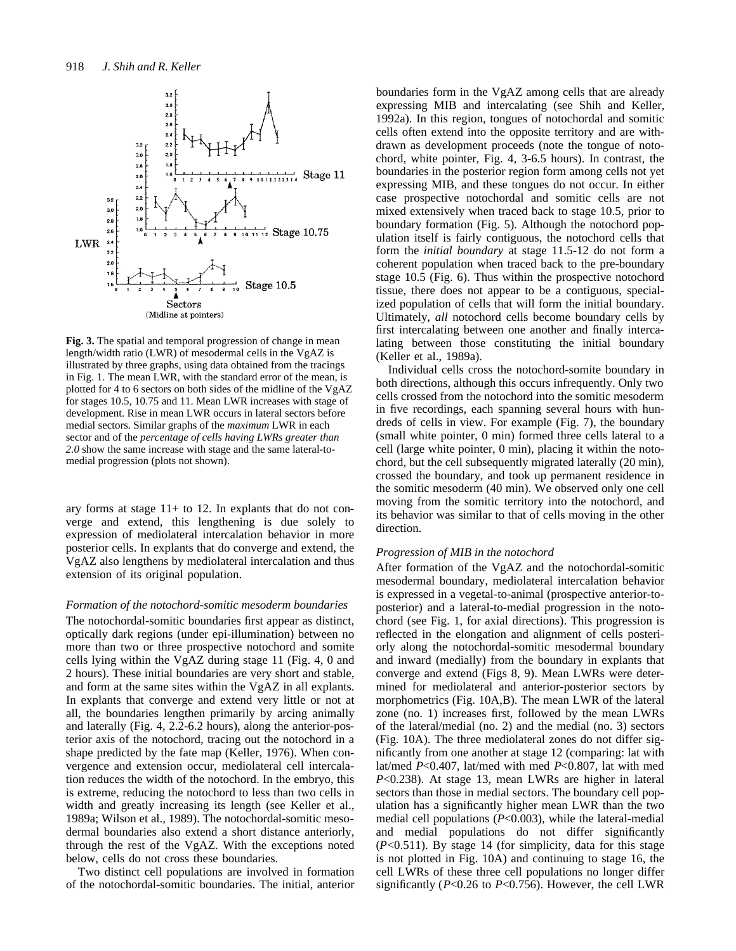

**Fig. 3.** The spatial and temporal progression of change in mean length/width ratio (LWR) of mesodermal cells in the VgAZ is illustrated by three graphs, using data obtained from the tracings in Fig. 1. The mean LWR, with the standard error of the mean, is plotted for 4 to 6 sectors on both sides of the midline of the VgAZ for stages 10.5, 10.75 and 11. Mean LWR increases with stage of development. Rise in mean LWR occurs in lateral sectors before medial sectors. Similar graphs of the *maximum* LWR in each sector and of the *percentage of cells having LWRs greater than 2.0* show the same increase with stage and the same lateral-tomedial progression (plots not shown).

ary forms at stage 11+ to 12. In explants that do not converge and extend, this lengthening is due solely to expression of mediolateral intercalation behavior in more posterior cells. In explants that do converge and extend, the VgAZ also lengthens by mediolateral intercalation and thus extension of its original population.

#### *Formation of the notochord-somitic mesoderm boundaries*

The notochordal-somitic boundaries first appear as distinct, optically dark regions (under epi-illumination) between no more than two or three prospective notochord and somite cells lying within the VgAZ during stage 11 (Fig. 4, 0 and 2 hours). These initial boundaries are very short and stable, and form at the same sites within the VgAZ in all explants. In explants that converge and extend very little or not at all, the boundaries lengthen primarily by arcing animally and laterally (Fig. 4, 2.2-6.2 hours), along the anterior-posterior axis of the notochord, tracing out the notochord in a shape predicted by the fate map (Keller, 1976). When convergence and extension occur, mediolateral cell intercalation reduces the width of the notochord. In the embryo, this is extreme, reducing the notochord to less than two cells in width and greatly increasing its length (see Keller et al., 1989a; Wilson et al., 1989). The notochordal-somitic mesodermal boundaries also extend a short distance anteriorly, through the rest of the VgAZ. With the exceptions noted below, cells do not cross these boundaries.

Two distinct cell populations are involved in formation of the notochordal-somitic boundaries. The initial, anterior boundaries form in the VgAZ among cells that are already expressing MIB and intercalating (see Shih and Keller, 1992a). In this region, tongues of notochordal and somitic cells often extend into the opposite territory and are withdrawn as development proceeds (note the tongue of notochord, white pointer, Fig. 4, 3-6.5 hours). In contrast, the boundaries in the posterior region form among cells not yet expressing MIB, and these tongues do not occur. In either case prospective notochordal and somitic cells are not mixed extensively when traced back to stage 10.5, prior to boundary formation (Fig. 5). Although the notochord population itself is fairly contiguous, the notochord cells that form the *initial boundary* at stage 11.5-12 do not form a coherent population when traced back to the pre-boundary stage 10.5 (Fig. 6). Thus within the prospective notochord tissue, there does not appear to be a contiguous, specialized population of cells that will form the initial boundary. Ultimately, *all* notochord cells become boundary cells by first intercalating between one another and finally intercalating between those constituting the initial boundary (Keller et al., 1989a).

Individual cells cross the notochord-somite boundary in both directions, although this occurs infrequently. Only two cells crossed from the notochord into the somitic mesoderm in five recordings, each spanning several hours with hundreds of cells in view. For example (Fig. 7), the boundary (small white pointer, 0 min) formed three cells lateral to a cell (large white pointer, 0 min), placing it within the notochord, but the cell subsequently migrated laterally (20 min), crossed the boundary, and took up permanent residence in the somitic mesoderm (40 min). We observed only one cell moving from the somitic territory into the notochord, and its behavior was similar to that of cells moving in the other direction.

#### *Progression of MIB in the notochord*

After formation of the VgAZ and the notochordal-somitic mesodermal boundary, mediolateral intercalation behavior is expressed in a vegetal-to-animal (prospective anterior-toposterior) and a lateral-to-medial progression in the notochord (see Fig. 1, for axial directions). This progression is reflected in the elongation and alignment of cells posteriorly along the notochordal-somitic mesodermal boundary and inward (medially) from the boundary in explants that converge and extend (Figs 8, 9). Mean LWRs were determined for mediolateral and anterior-posterior sectors by morphometrics (Fig. 10A,B). The mean LWR of the lateral zone (no. 1) increases first, followed by the mean LWRs of the lateral/medial (no. 2) and the medial (no. 3) sectors (Fig. 10A). The three mediolateral zones do not differ significantly from one another at stage 12 (comparing: lat with lat/med *P*<0.407, lat/med with med *P*<0.807, lat with med *P*<0.238). At stage 13, mean LWRs are higher in lateral sectors than those in medial sectors. The boundary cell population has a significantly higher mean LWR than the two medial cell populations (*P*<0.003), while the lateral-medial and medial populations do not differ significantly (*P*<0.511). By stage 14 (for simplicity, data for this stage is not plotted in Fig. 10A) and continuing to stage 16, the cell LWRs of these three cell populations no longer differ significantly (*P*<0.26 to *P*<0.756). However, the cell LWR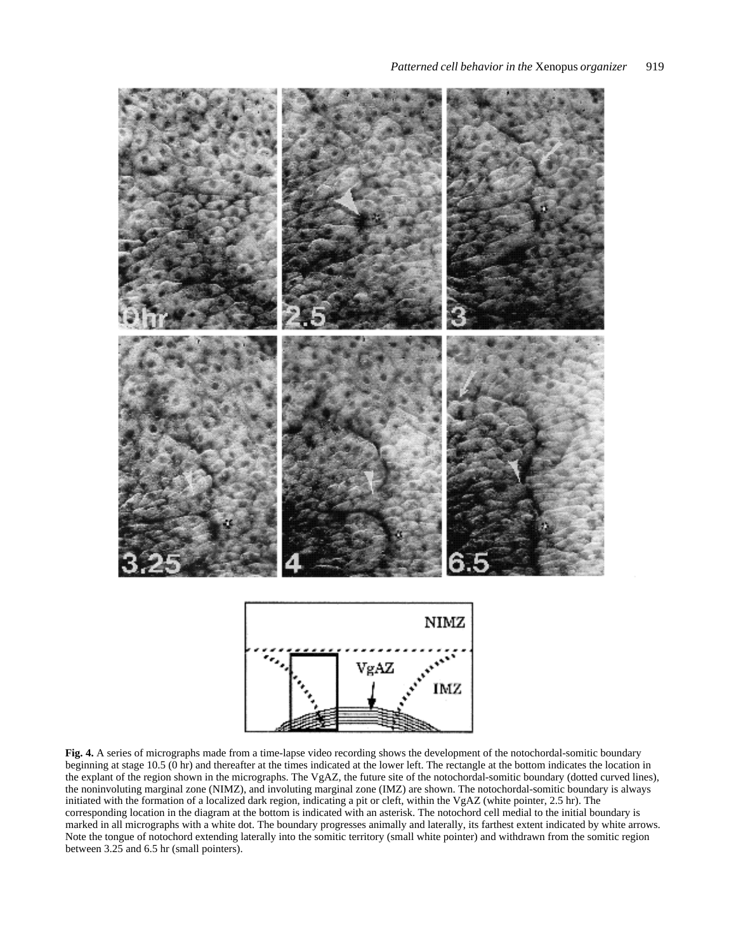

**Fig. 4.** A series of micrographs made from a time-lapse video recording shows the development of the notochordal-somitic boundary beginning at stage 10.5 (0 hr) and thereafter at the times indicated at the lower left. The rectangle at the bottom indicates the location in the explant of the region shown in the micrographs. The VgAZ, the future site of the notochordal-somitic boundary (dotted curved lines), the noninvoluting marginal zone (NIMZ), and involuting marginal zone (IMZ) are shown. The notochordal-somitic boundary is always initiated with the formation of a localized dark region, indicating a pit or cleft, within the VgAZ (white pointer, 2.5 hr). The corresponding location in the diagram at the bottom is indicated with an asterisk. The notochord cell medial to the initial boundary is marked in all micrographs with a white dot. The boundary progresses animally and laterally, its farthest extent indicated by white arrows. Note the tongue of notochord extending laterally into the somitic territory (small white pointer) and withdrawn from the somitic region between 3.25 and 6.5 hr (small pointers).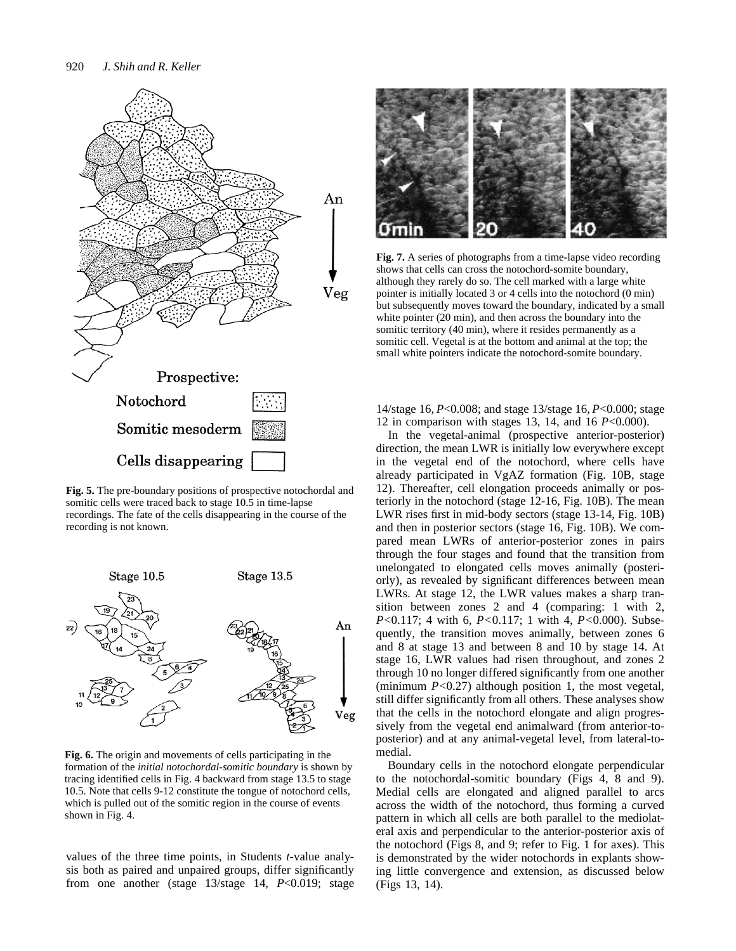

**Fig. 5.** The pre-boundary positions of prospective notochordal and somitic cells were traced back to stage 10.5 in time-lapse recordings. The fate of the cells disappearing in the course of the recording is not known.



**Fig. 6.** The origin and movements of cells participating in the formation of the *initial notochordal-somitic boundary* is shown by tracing identified cells in Fig. 4 backward from stage 13.5 to stage 10.5. Note that cells 9-12 constitute the tongue of notochord cells, which is pulled out of the somitic region in the course of events shown in Fig. 4.

values of the three time points, in Students *t*-value analysis both as paired and unpaired groups, differ significantly from one another (stage 13/stage 14, *P*<0.019; stage



**Fig. 7.** A series of photographs from a time-lapse video recording shows that cells can cross the notochord-somite boundary, although they rarely do so. The cell marked with a large white pointer is initially located 3 or 4 cells into the notochord (0 min) but subsequently moves toward the boundary, indicated by a small white pointer (20 min), and then across the boundary into the somitic territory (40 min), where it resides permanently as a somitic cell. Vegetal is at the bottom and animal at the top; the small white pointers indicate the notochord-somite boundary.

14/stage 16, *P*<0.008; and stage 13/stage 16, *P*<0.000; stage 12 in comparison with stages 13, 14, and 16 *P*<0.000).

In the vegetal-animal (prospective anterior-posterior) direction, the mean LWR is initially low everywhere except in the vegetal end of the notochord, where cells have already participated in VgAZ formation (Fig. 10B, stage 12). Thereafter, cell elongation proceeds animally or posteriorly in the notochord (stage 12-16, Fig. 10B). The mean LWR rises first in mid-body sectors (stage 13-14, Fig. 10B) and then in posterior sectors (stage 16, Fig. 10B). We compared mean LWRs of anterior-posterior zones in pairs through the four stages and found that the transition from unelongated to elongated cells moves animally (posteriorly), as revealed by significant differences between mean LWRs. At stage 12, the LWR values makes a sharp transition between zones 2 and 4 (comparing: 1 with 2, *P<*0.117; 4 with 6, *P<*0.117; 1 with 4, *P<*0.000). Subsequently, the transition moves animally, between zones 6 and 8 at stage 13 and between 8 and 10 by stage 14. At stage 16, LWR values had risen throughout, and zones 2 through 10 no longer differed significantly from one another (minimum *P<*0.27) although position 1, the most vegetal, still differ significantly from all others. These analyses show that the cells in the notochord elongate and align progressively from the vegetal end animalward (from anterior-toposterior) and at any animal-vegetal level, from lateral-tomedial.

Boundary cells in the notochord elongate perpendicular to the notochordal-somitic boundary (Figs 4, 8 and 9). Medial cells are elongated and aligned parallel to arcs across the width of the notochord, thus forming a curved pattern in which all cells are both parallel to the mediolateral axis and perpendicular to the anterior-posterior axis of the notochord (Figs 8, and 9; refer to Fig. 1 for axes). This is demonstrated by the wider notochords in explants showing little convergence and extension, as discussed below (Figs 13, 14).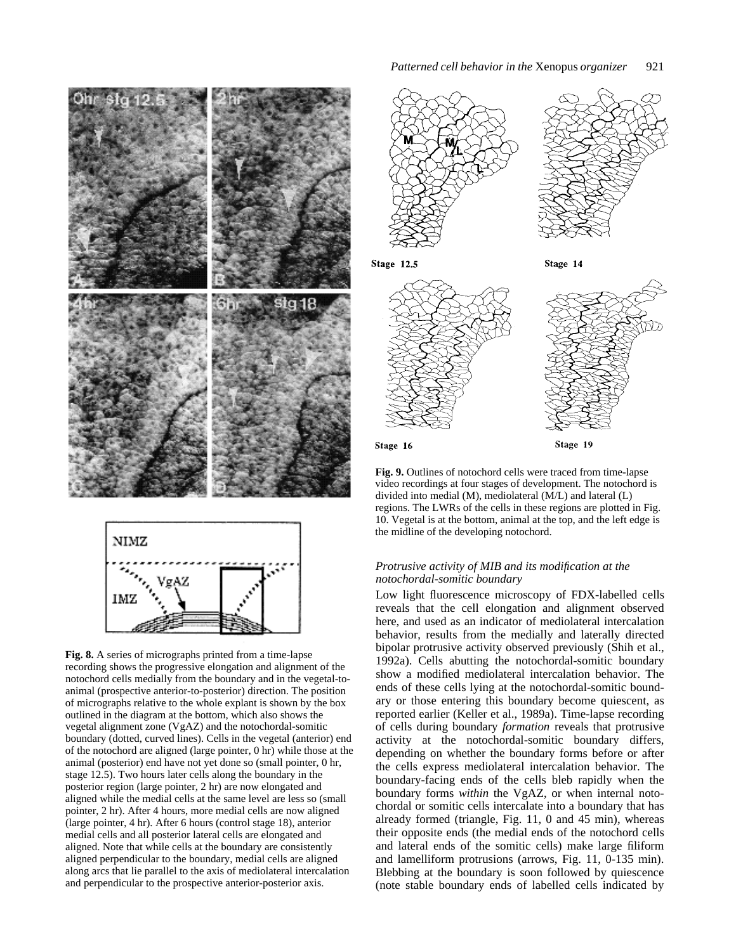

**Fig. 8.** A series of micrographs printed from a time-lapse recording shows the progressive elongation and alignment of the notochord cells medially from the boundary and in the vegetal-toanimal (prospective anterior-to-posterior) direction. The position of micrographs relative to the whole explant is shown by the box outlined in the diagram at the bottom, which also shows the vegetal alignment zone (VgAZ) and the notochordal-somitic boundary (dotted, curved lines). Cells in the vegetal (anterior) end of the notochord are aligned (large pointer, 0 hr) while those at the animal (posterior) end have not yet done so (small pointer, 0 hr, stage 12.5). Two hours later cells along the boundary in the posterior region (large pointer, 2 hr) are now elongated and aligned while the medial cells at the same level are less so (small pointer, 2 hr). After 4 hours, more medial cells are now aligned (large pointer, 4 hr). After 6 hours (control stage 18), anterior medial cells and all posterior lateral cells are elongated and aligned. Note that while cells at the boundary are consistently aligned perpendicular to the boundary, medial cells are aligned along arcs that lie parallel to the axis of mediolateral intercalation and perpendicular to the prospective anterior-posterior axis.



**Stage 12.5** 

Stage 14



**Fig. 9.** Outlines of notochord cells were traced from time-lapse video recordings at four stages of development. The notochord is divided into medial (M), mediolateral (M/L) and lateral (L) regions. The LWRs of the cells in these regions are plotted in Fig. 10. Vegetal is at the bottom, animal at the top, and the left edge is

# *Protrusive activity of MIB and its modification at the notochordal-somitic boundary*

the midline of the developing notochord.

Low light fluorescence microscopy of FDX-labelled cells reveals that the cell elongation and alignment observed here, and used as an indicator of mediolateral intercalation behavior, results from the medially and laterally directed bipolar protrusive activity observed previously (Shih et al., 1992a). Cells abutting the notochordal-somitic boundary show a modified mediolateral intercalation behavior. The ends of these cells lying at the notochordal-somitic boundary or those entering this boundary become quiescent, as reported earlier (Keller et al., 1989a). Time-lapse recording of cells during boundary *formation* reveals that protrusive activity at the notochordal-somitic boundary differs, depending on whether the boundary forms before or after the cells express mediolateral intercalation behavior. The boundary-facing ends of the cells bleb rapidly when the boundary forms *within* the VgAZ, or when internal notochordal or somitic cells intercalate into a boundary that has already formed (triangle, Fig. 11, 0 and 45 min), whereas their opposite ends (the medial ends of the notochord cells and lateral ends of the somitic cells) make large filiform and lamelliform protrusions (arrows, Fig. 11, 0-135 min). Blebbing at the boundary is soon followed by quiescence (note stable boundary ends of labelled cells indicated by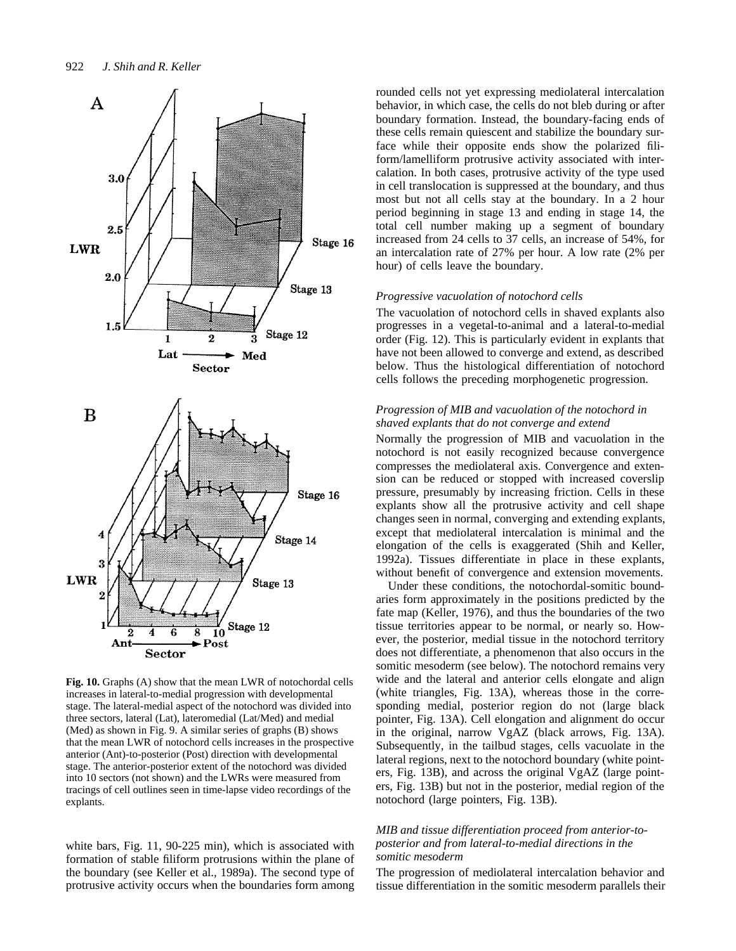

**Fig. 10.** Graphs (A) show that the mean LWR of notochordal cells increases in lateral-to-medial progression with developmental stage. The lateral-medial aspect of the notochord was divided into three sectors, lateral (Lat), lateromedial (Lat/Med) and medial (Med) as shown in Fig. 9. A similar series of graphs (B) shows that the mean LWR of notochord cells increases in the prospective anterior (Ant)-to-posterior (Post) direction with developmental stage. The anterior-posterior extent of the notochord was divided into 10 sectors (not shown) and the LWRs were measured from tracings of cell outlines seen in time-lapse video recordings of the explants.

white bars, Fig. 11, 90-225 min), which is associated with formation of stable filiform protrusions within the plane of the boundary (see Keller et al., 1989a). The second type of protrusive activity occurs when the boundaries form among rounded cells not yet expressing mediolateral intercalation behavior, in which case, the cells do not bleb during or after boundary formation. Instead, the boundary-facing ends of these cells remain quiescent and stabilize the boundary surface while their opposite ends show the polarized filiform/lamelliform protrusive activity associated with intercalation. In both cases, protrusive activity of the type used in cell translocation is suppressed at the boundary, and thus most but not all cells stay at the boundary. In a 2 hour period beginning in stage 13 and ending in stage 14, the total cell number making up a segment of boundary increased from 24 cells to 37 cells, an increase of 54%, for an intercalation rate of 27% per hour. A low rate (2% per hour) of cells leave the boundary.

## *Progressive vacuolation of notochord cells*

The vacuolation of notochord cells in shaved explants also progresses in a vegetal-to-animal and a lateral-to-medial order (Fig. 12). This is particularly evident in explants that have not been allowed to converge and extend, as described below. Thus the histological differentiation of notochord cells follows the preceding morphogenetic progression.

# *Progression of MIB and vacuolation of the notochord in shaved explants that do not converge and extend*

Normally the progression of MIB and vacuolation in the notochord is not easily recognized because convergence compresses the mediolateral axis. Convergence and extension can be reduced or stopped with increased coverslip pressure, presumably by increasing friction. Cells in these explants show all the protrusive activity and cell shape changes seen in normal, converging and extending explants, except that mediolateral intercalation is minimal and the elongation of the cells is exaggerated (Shih and Keller, 1992a). Tissues differentiate in place in these explants, without benefit of convergence and extension movements.

Under these conditions, the notochordal-somitic boundaries form approximately in the positions predicted by the fate map (Keller, 1976), and thus the boundaries of the two tissue territories appear to be normal, or nearly so. However, the posterior, medial tissue in the notochord territory does not differentiate, a phenomenon that also occurs in the somitic mesoderm (see below). The notochord remains very wide and the lateral and anterior cells elongate and align (white triangles, Fig. 13A), whereas those in the corresponding medial, posterior region do not (large black pointer, Fig. 13A). Cell elongation and alignment do occur in the original, narrow VgAZ (black arrows, Fig. 13A). Subsequently, in the tailbud stages, cells vacuolate in the lateral regions, next to the notochord boundary (white pointers, Fig. 13B), and across the original VgAZ (large pointers, Fig. 13B) but not in the posterior, medial region of the notochord (large pointers, Fig. 13B).

# *MIB and tissue differentiation proceed from anterior-toposterior and from lateral-to-medial directions in the somitic mesoderm*

The progression of mediolateral intercalation behavior and tissue differentiation in the somitic mesoderm parallels their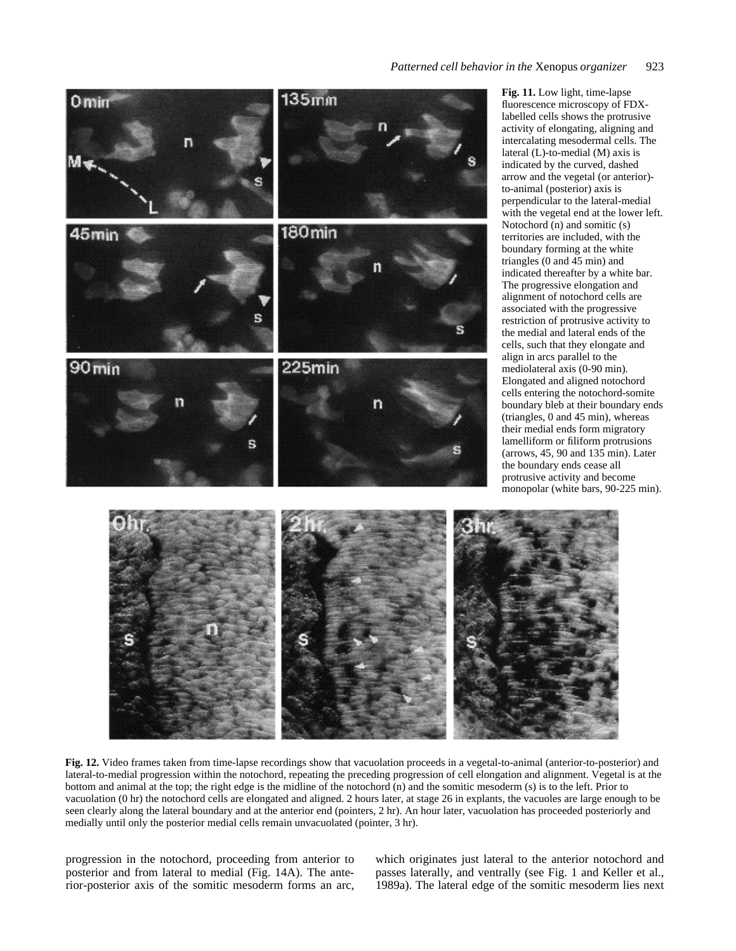

**Fig. 11.** Low light, time-lapse fluorescence microscopy of FDXlabelled cells shows the protrusive activity of elongating, aligning and intercalating mesodermal cells. The lateral (L)-to-medial (M) axis is indicated by the curved, dashed arrow and the vegetal (or anterior) to-animal (posterior) axis is perpendicular to the lateral-medial with the vegetal end at the lower left. Notochord (n) and somitic (s) territories are included, with the boundary forming at the white triangles (0 and 45 min) and indicated thereafter by a white bar. The progressive elongation and alignment of notochord cells are associated with the progressive restriction of protrusive activity to the medial and lateral ends of the cells, such that they elongate and align in arcs parallel to the mediolateral axis (0-90 min). Elongated and aligned notochord cells entering the notochord-somite boundary bleb at their boundary ends (triangles, 0 and 45 min), whereas their medial ends form migratory lamelliform or filiform protrusions (arrows, 45, 90 and 135 min). Later the boundary ends cease all protrusive activity and become monopolar (white bars, 90-225 min).



**Fig. 12.** Video frames taken from time-lapse recordings show that vacuolation proceeds in a vegetal-to-animal (anterior-to-posterior) and lateral-to-medial progression within the notochord, repeating the preceding progression of cell elongation and alignment. Vegetal is at the bottom and animal at the top; the right edge is the midline of the notochord (n) and the somitic mesoderm (s) is to the left. Prior to vacuolation (0 hr) the notochord cells are elongated and aligned. 2 hours later, at stage 26 in explants, the vacuoles are large enough to be seen clearly along the lateral boundary and at the anterior end (pointers, 2 hr). An hour later, vacuolation has proceeded posteriorly and medially until only the posterior medial cells remain unvacuolated (pointer, 3 hr).

progression in the notochord, proceeding from anterior to posterior and from lateral to medial (Fig. 14A). The anterior-posterior axis of the somitic mesoderm forms an arc, which originates just lateral to the anterior notochord and passes laterally, and ventrally (see Fig. 1 and Keller et al., 1989a). The lateral edge of the somitic mesoderm lies next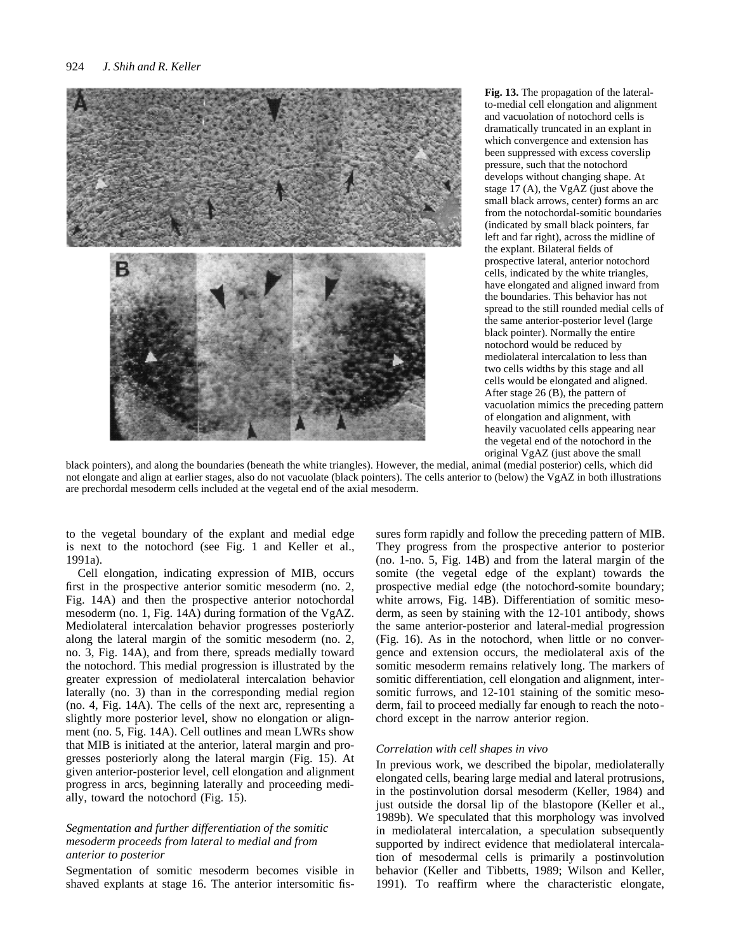

**Fig. 13.** The propagation of the lateralto-medial cell elongation and alignment and vacuolation of notochord cells is dramatically truncated in an explant in which convergence and extension has been suppressed with excess coverslip pressure, such that the notochord develops without changing shape. At stage 17 (A), the VgAZ (just above the small black arrows, center) forms an arc from the notochordal-somitic boundaries (indicated by small black pointers, far left and far right), across the midline of the explant. Bilateral fields of prospective lateral, anterior notochord cells, indicated by the white triangles, have elongated and aligned inward from the boundaries. This behavior has not spread to the still rounded medial cells of the same anterior-posterior level (large black pointer). Normally the entire notochord would be reduced by mediolateral intercalation to less than two cells widths by this stage and all cells would be elongated and aligned. After stage 26 (B), the pattern of vacuolation mimics the preceding pattern of elongation and alignment, with heavily vacuolated cells appearing near the vegetal end of the notochord in the original VgAZ (just above the small

black pointers), and along the boundaries (beneath the white triangles). However, the medial, animal (medial posterior) cells, which did not elongate and align at earlier stages, also do not vacuolate (black pointers). The cells anterior to (below) the VgAZ in both illustrations are prechordal mesoderm cells included at the vegetal end of the axial mesoderm.

to the vegetal boundary of the explant and medial edge is next to the notochord (see Fig. 1 and Keller et al., 1991a).

Cell elongation, indicating expression of MIB, occurs first in the prospective anterior somitic mesoderm (no. 2, Fig. 14A) and then the prospective anterior notochordal mesoderm (no. 1, Fig. 14A) during formation of the VgAZ. Mediolateral intercalation behavior progresses posteriorly along the lateral margin of the somitic mesoderm (no. 2, no. 3, Fig. 14A), and from there, spreads medially toward the notochord. This medial progression is illustrated by the greater expression of mediolateral intercalation behavior laterally (no. 3) than in the corresponding medial region (no. 4, Fig. 14A). The cells of the next arc, representing a slightly more posterior level, show no elongation or alignment (no. 5, Fig. 14A). Cell outlines and mean LWRs show that MIB is initiated at the anterior, lateral margin and progresses posteriorly along the lateral margin (Fig. 15). At given anterior-posterior level, cell elongation and alignment progress in arcs, beginning laterally and proceeding medially, toward the notochord (Fig. 15).

# *Segmentation and further differentiation of the somitic mesoderm proceeds from lateral to medial and from anterior to posterior*

Segmentation of somitic mesoderm becomes visible in shaved explants at stage 16. The anterior intersomitic fissures form rapidly and follow the preceding pattern of MIB. They progress from the prospective anterior to posterior (no. 1-no. 5, Fig. 14B) and from the lateral margin of the somite (the vegetal edge of the explant) towards the prospective medial edge (the notochord-somite boundary; white arrows, Fig. 14B). Differentiation of somitic mesoderm, as seen by staining with the 12-101 antibody, shows the same anterior-posterior and lateral-medial progression (Fig. 16). As in the notochord, when little or no convergence and extension occurs, the mediolateral axis of the somitic mesoderm remains relatively long. The markers of somitic differentiation, cell elongation and alignment, intersomitic furrows, and 12-101 staining of the somitic mesoderm, fail to proceed medially far enough to reach the notochord except in the narrow anterior region.

#### *Correlation with cell shapes in vivo*

In previous work, we described the bipolar, mediolaterally elongated cells, bearing large medial and lateral protrusions, in the postinvolution dorsal mesoderm (Keller, 1984) and just outside the dorsal lip of the blastopore (Keller et al., 1989b). We speculated that this morphology was involved in mediolateral intercalation, a speculation subsequently supported by indirect evidence that mediolateral intercalation of mesodermal cells is primarily a postinvolution behavior (Keller and Tibbetts, 1989; Wilson and Keller, 1991). To reaffirm where the characteristic elongate,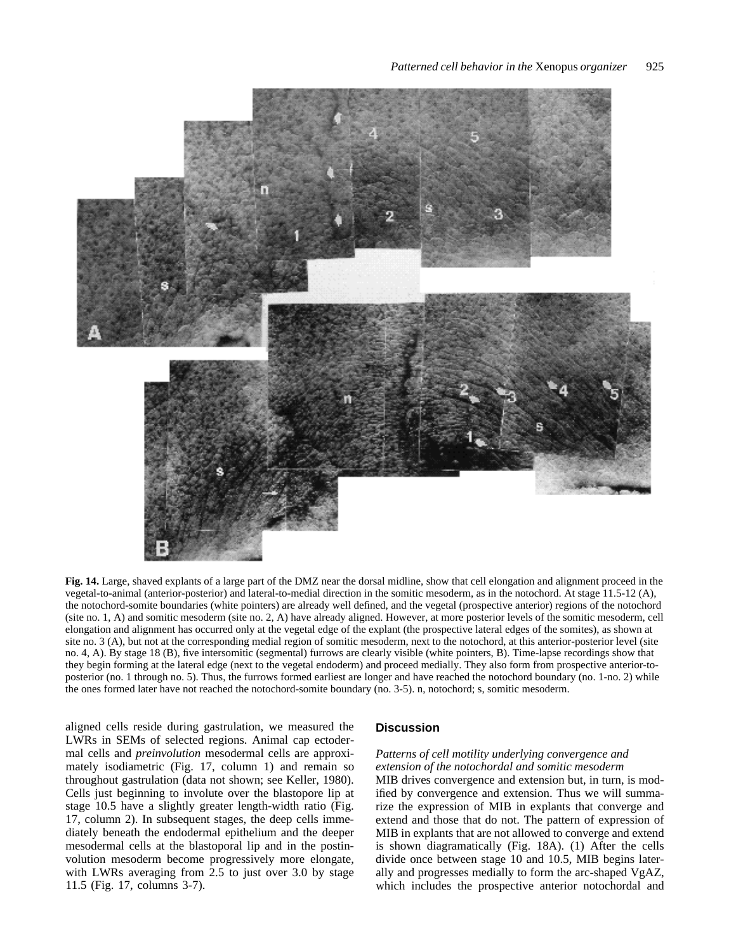

**Fig. 14.** Large, shaved explants of a large part of the DMZ near the dorsal midline, show that cell elongation and alignment proceed in the vegetal-to-animal (anterior-posterior) and lateral-to-medial direction in the somitic mesoderm, as in the notochord. At stage 11.5-12 (A), the notochord-somite boundaries (white pointers) are already well defined, and the vegetal (prospective anterior) regions of the notochord (site no. 1, A) and somitic mesoderm (site no. 2, A) have already aligned. However, at more posterior levels of the somitic mesoderm, cell elongation and alignment has occurred only at the vegetal edge of the explant (the prospective lateral edges of the somites), as shown at site no. 3 (A), but not at the corresponding medial region of somitic mesoderm, next to the notochord, at this anterior-posterior level (site no. 4, A). By stage 18 (B), five intersomitic (segmental) furrows are clearly visible (white pointers, B). Time-lapse recordings show that they begin forming at the lateral edge (next to the vegetal endoderm) and proceed medially. They also form from prospective anterior-toposterior (no. 1 through no. 5). Thus, the furrows formed earliest are longer and have reached the notochord boundary (no. 1-no. 2) while the ones formed later have not reached the notochord-somite boundary (no. 3-5). n, notochord; s, somitic mesoderm.

aligned cells reside during gastrulation, we measured the LWRs in SEMs of selected regions. Animal cap ectodermal cells and *preinvolution* mesodermal cells are approximately isodiametric (Fig. 17, column 1) and remain so throughout gastrulation (data not shown; see Keller, 1980). Cells just beginning to involute over the blastopore lip at stage 10.5 have a slightly greater length-width ratio (Fig. 17, column 2). In subsequent stages, the deep cells immediately beneath the endodermal epithelium and the deeper mesodermal cells at the blastoporal lip and in the postinvolution mesoderm become progressively more elongate, with LWRs averaging from 2.5 to just over 3.0 by stage 11.5 (Fig. 17, columns 3-7).

#### **Discussion**

# *Patterns of cell motility underlying convergence and extension of the notochordal and somitic mesoderm*

MIB drives convergence and extension but, in turn, is modified by convergence and extension. Thus we will summarize the expression of MIB in explants that converge and extend and those that do not. The pattern of expression of MIB in explants that are not allowed to converge and extend is shown diagramatically (Fig. 18A). (1) After the cells divide once between stage 10 and 10.5, MIB begins laterally and progresses medially to form the arc-shaped VgAZ, which includes the prospective anterior notochordal and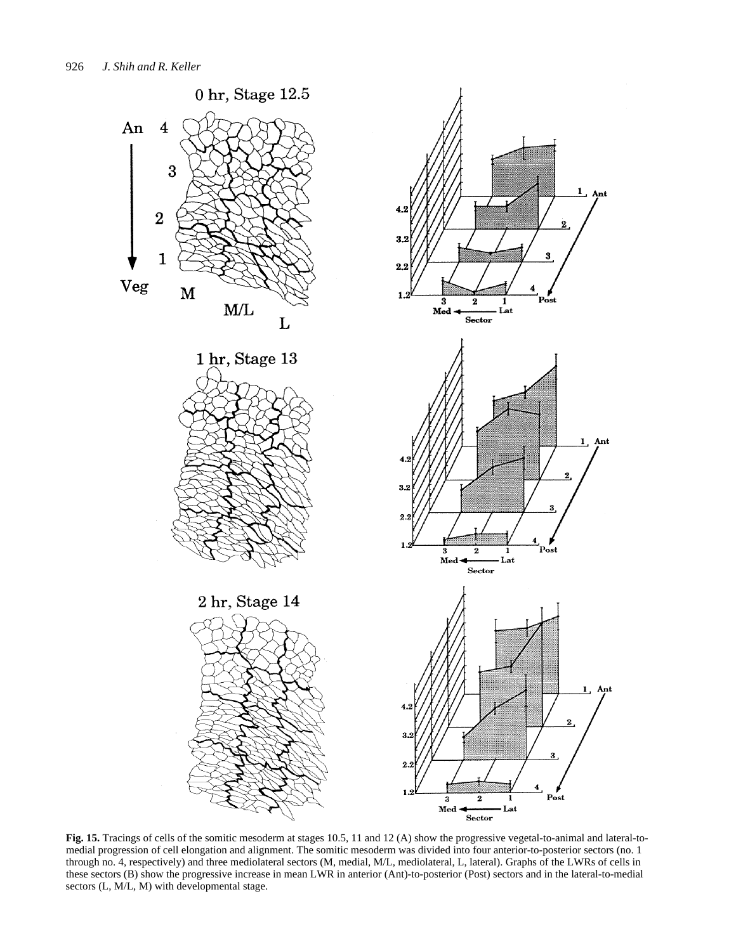

**Fig. 15.** Tracings of cells of the somitic mesoderm at stages 10.5, 11 and 12 (A) show the progressive vegetal-to-animal and lateral-tomedial progression of cell elongation and alignment. The somitic mesoderm was divided into four anterior-to-posterior sectors (no. 1 through no. 4, respectively) and three mediolateral sectors (M, medial, M/L, mediolateral, L, lateral). Graphs of the LWRs of cells in these sectors (B) show the progressive increase in mean LWR in anterior (Ant)-to-posterior (Post) sectors and in the lateral-to-medial sectors (L, M/L, M) with developmental stage.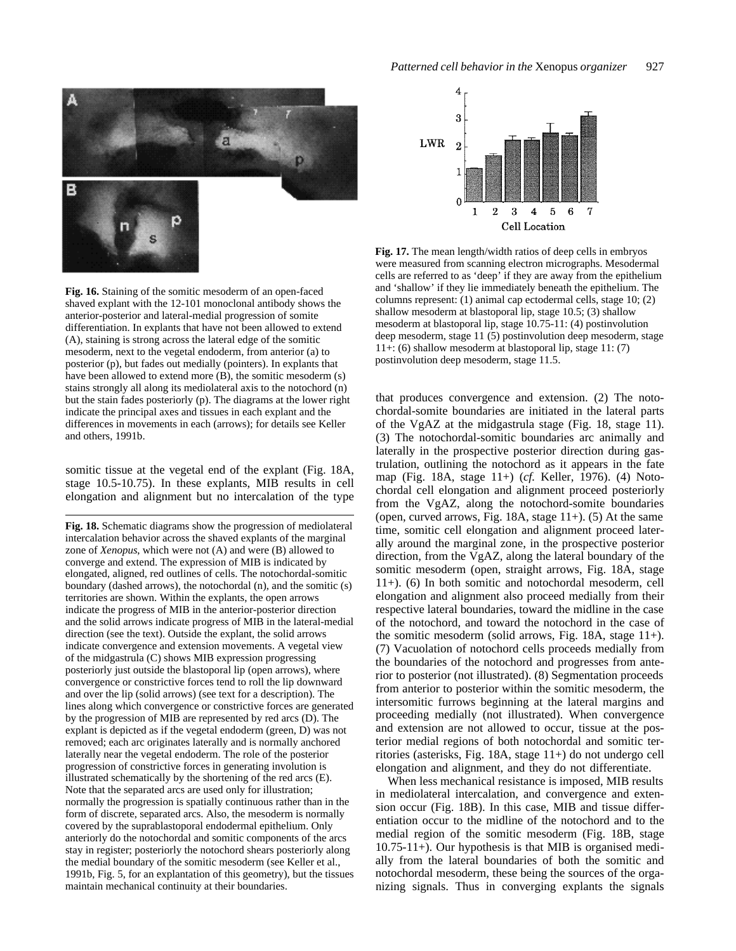

**Fig. 16.** Staining of the somitic mesoderm of an open-faced shaved explant with the 12-101 monoclonal antibody shows the anterior-posterior and lateral-medial progression of somite differentiation. In explants that have not been allowed to extend (A), staining is strong across the lateral edge of the somitic mesoderm, next to the vegetal endoderm, from anterior (a) to posterior (p), but fades out medially (pointers). In explants that have been allowed to extend more (B), the somitic mesoderm (s) stains strongly all along its mediolateral axis to the notochord (n) but the stain fades posteriorly (p). The diagrams at the lower right indicate the principal axes and tissues in each explant and the differences in movements in each (arrows); for details see Keller and others, 1991b.

somitic tissue at the vegetal end of the explant (Fig. 18A, stage 10.5-10.75). In these explants, MIB results in cell elongation and alignment but no intercalation of the type

**Fig. 18.** Schematic diagrams show the progression of mediolateral intercalation behavior across the shaved explants of the marginal zone of *Xenopus*, which were not (A) and were (B) allowed to converge and extend. The expression of MIB is indicated by elongated, aligned, red outlines of cells. The notochordal-somitic boundary (dashed arrows), the notochordal (n), and the somitic (s) territories are shown. Within the explants, the open arrows indicate the progress of MIB in the anterior-posterior direction and the solid arrows indicate progress of MIB in the lateral-medial direction (see the text). Outside the explant, the solid arrows indicate convergence and extension movements. A vegetal view of the midgastrula (C) shows MIB expression progressing posteriorly just outside the blastoporal lip (open arrows), where convergence or constrictive forces tend to roll the lip downward and over the lip (solid arrows) (see text for a description). The lines along which convergence or constrictive forces are generated by the progression of MIB are represented by red arcs (D). The explant is depicted as if the vegetal endoderm (green, D) was not removed; each arc originates laterally and is normally anchored laterally near the vegetal endoderm. The role of the posterior progression of constrictive forces in generating involution is illustrated schematically by the shortening of the red arcs (E). Note that the separated arcs are used only for illustration; normally the progression is spatially continuous rather than in the form of discrete, separated arcs. Also, the mesoderm is normally covered by the suprablastoporal endodermal epithelium. Only anteriorly do the notochordal and somitic components of the arcs stay in register; posteriorly the notochord shears posteriorly along the medial boundary of the somitic mesoderm (see Keller et al., 1991b, Fig. 5, for an explantation of this geometry), but the tissues maintain mechanical continuity at their boundaries.



**Fig. 17.** The mean length/width ratios of deep cells in embryos were measured from scanning electron micrographs. Mesodermal cells are referred to as 'deep' if they are away from the epithelium and 'shallow' if they lie immediately beneath the epithelium. The columns represent: (1) animal cap ectodermal cells, stage 10; (2) shallow mesoderm at blastoporal lip, stage 10.5; (3) shallow mesoderm at blastoporal lip, stage 10.75-11: (4) postinvolution deep mesoderm, stage 11 (5) postinvolution deep mesoderm, stage 11+: (6) shallow mesoderm at blastoporal lip, stage 11: (7) postinvolution deep mesoderm, stage 11.5.

that produces convergence and extension. (2) The notochordal-somite boundaries are initiated in the lateral parts of the VgAZ at the midgastrula stage (Fig. 18, stage 11). (3) The notochordal-somitic boundaries arc animally and laterally in the prospective posterior direction during gastrulation, outlining the notochord as it appears in the fate map (Fig. 18A, stage 11+) (*cf.* Keller, 1976). (4) Notochordal cell elongation and alignment proceed posteriorly from the VgAZ, along the notochord-somite boundaries (open, curved arrows, Fig. 18A, stage 11+). (5) At the same time, somitic cell elongation and alignment proceed laterally around the marginal zone, in the prospective posterior direction, from the VgAZ, along the lateral boundary of the somitic mesoderm (open, straight arrows, Fig. 18A, stage 11+). (6) In both somitic and notochordal mesoderm, cell elongation and alignment also proceed medially from their respective lateral boundaries, toward the midline in the case of the notochord, and toward the notochord in the case of the somitic mesoderm (solid arrows, Fig. 18A, stage 11+). (7) Vacuolation of notochord cells proceeds medially from the boundaries of the notochord and progresses from anterior to posterior (not illustrated). (8) Segmentation proceeds from anterior to posterior within the somitic mesoderm, the intersomitic furrows beginning at the lateral margins and proceeding medially (not illustrated). When convergence and extension are not allowed to occur, tissue at the posterior medial regions of both notochordal and somitic territories (asterisks, Fig. 18A, stage 11+) do not undergo cell elongation and alignment, and they do not differentiate.

When less mechanical resistance is imposed, MIB results in mediolateral intercalation, and convergence and extension occur (Fig. 18B). In this case, MIB and tissue differentiation occur to the midline of the notochord and to the medial region of the somitic mesoderm (Fig. 18B, stage 10.75-11+). Our hypothesis is that MIB is organised medially from the lateral boundaries of both the somitic and notochordal mesoderm, these being the sources of the organizing signals. Thus in converging explants the signals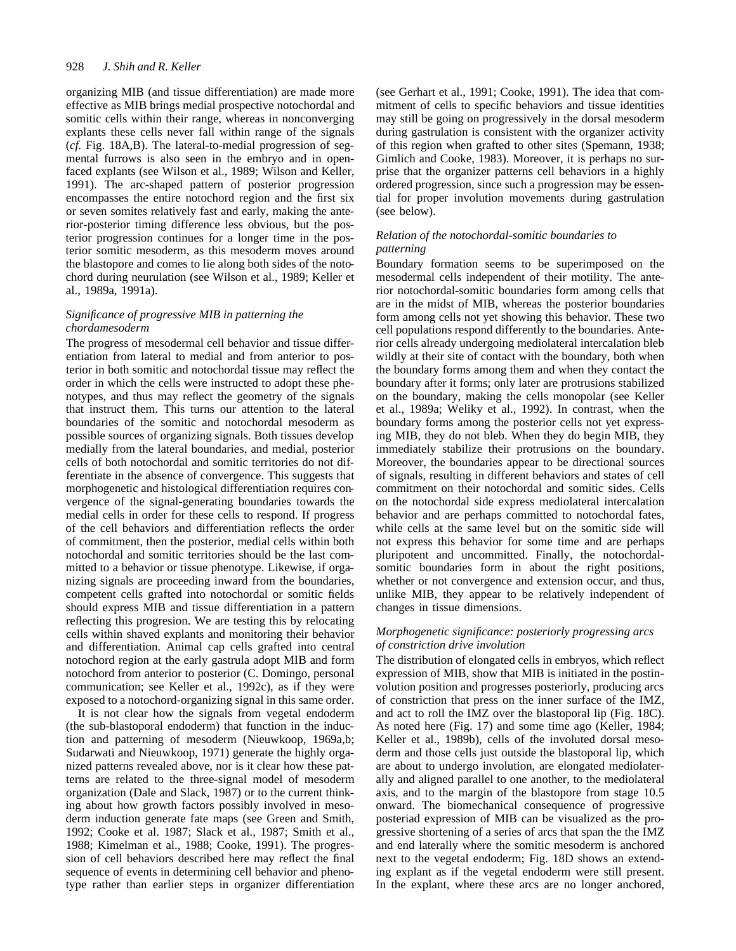#### 928 *J. Shih and R. Keller*

organizing MIB (and tissue differentiation) are made more effective as MIB brings medial prospective notochordal and somitic cells within their range, whereas in nonconverging explants these cells never fall within range of the signals (*cf.* Fig. 18A,B). The lateral-to-medial progression of segmental furrows is also seen in the embryo and in openfaced explants (see Wilson et al., 1989; Wilson and Keller, 1991). The arc-shaped pattern of posterior progression encompasses the entire notochord region and the first six or seven somites relatively fast and early, making the anterior-posterior timing difference less obvious, but the posterior progression continues for a longer time in the posterior somitic mesoderm, as this mesoderm moves around the blastopore and comes to lie along both sides of the notochord during neurulation (see Wilson et al., 1989; Keller et al., 1989a, 1991a).

# *Significance of progressive MIB in patterning the chordamesoderm*

The progress of mesodermal cell behavior and tissue differentiation from lateral to medial and from anterior to posterior in both somitic and notochordal tissue may reflect the order in which the cells were instructed to adopt these phenotypes, and thus may reflect the geometry of the signals that instruct them. This turns our attention to the lateral boundaries of the somitic and notochordal mesoderm as possible sources of organizing signals. Both tissues develop medially from the lateral boundaries, and medial, posterior cells of both notochordal and somitic territories do not differentiate in the absence of convergence. This suggests that morphogenetic and histological differentiation requires convergence of the signal-generating boundaries towards the medial cells in order for these cells to respond. If progress of the cell behaviors and differentiation reflects the order of commitment, then the posterior, medial cells within both notochordal and somitic territories should be the last committed to a behavior or tissue phenotype. Likewise, if organizing signals are proceeding inward from the boundaries, competent cells grafted into notochordal or somitic fields should express MIB and tissue differentiation in a pattern reflecting this progresion. We are testing this by relocating cells within shaved explants and monitoring their behavior and differentiation. Animal cap cells grafted into central notochord region at the early gastrula adopt MIB and form notochord from anterior to posterior (C. Domingo, personal communication; see Keller et al., 1992c), as if they were exposed to a notochord-organizing signal in this same order.

It is not clear how the signals from vegetal endoderm (the sub-blastoporal endoderm) that function in the induction and patterning of mesoderm (Nieuwkoop, 1969a,b; Sudarwati and Nieuwkoop, 1971) generate the highly organized patterns revealed above, nor is it clear how these patterns are related to the three-signal model of mesoderm organization (Dale and Slack, 1987) or to the current thinking about how growth factors possibly involved in mesoderm induction generate fate maps (see Green and Smith, 1992; Cooke et al. 1987; Slack et al., 1987; Smith et al., 1988; Kimelman et al., 1988; Cooke, 1991). The progression of cell behaviors described here may reflect the final sequence of events in determining cell behavior and phenotype rather than earlier steps in organizer differentiation (see Gerhart et al., 1991; Cooke, 1991). The idea that commitment of cells to specific behaviors and tissue identities may still be going on progressively in the dorsal mesoderm during gastrulation is consistent with the organizer activity of this region when grafted to other sites (Spemann, 1938; Gimlich and Cooke, 1983). Moreover, it is perhaps no surprise that the organizer patterns cell behaviors in a highly ordered progression, since such a progression may be essential for proper involution movements during gastrulation (see below).

# *Relation of the notochordal-somitic boundaries to patterning*

Boundary formation seems to be superimposed on the mesodermal cells independent of their motility. The anterior notochordal-somitic boundaries form among cells that are in the midst of MIB, whereas the posterior boundaries form among cells not yet showing this behavior. These two cell populations respond differently to the boundaries. Anterior cells already undergoing mediolateral intercalation bleb wildly at their site of contact with the boundary, both when the boundary forms among them and when they contact the boundary after it forms; only later are protrusions stabilized on the boundary, making the cells monopolar (see Keller et al., 1989a; Weliky et al., 1992). In contrast, when the boundary forms among the posterior cells not yet expressing MIB, they do not bleb. When they do begin MIB, they immediately stabilize their protrusions on the boundary. Moreover, the boundaries appear to be directional sources of signals, resulting in different behaviors and states of cell commitment on their notochordal and somitic sides. Cells on the notochordal side express mediolateral intercalation behavior and are perhaps committed to notochordal fates, while cells at the same level but on the somitic side will not express this behavior for some time and are perhaps pluripotent and uncommitted. Finally, the notochordalsomitic boundaries form in about the right positions, whether or not convergence and extension occur, and thus, unlike MIB, they appear to be relatively independent of changes in tissue dimensions.

# *Morphogenetic significance: posteriorly progressing arcs of constriction drive involution*

The distribution of elongated cells in embryos, which reflect expression of MIB, show that MIB is initiated in the postinvolution position and progresses posteriorly, producing arcs of constriction that press on the inner surface of the IMZ, and act to roll the IMZ over the blastoporal lip (Fig. 18C). As noted here (Fig. 17) and some time ago (Keller, 1984; Keller et al., 1989b), cells of the involuted dorsal mesoderm and those cells just outside the blastoporal lip, which are about to undergo involution, are elongated mediolaterally and aligned parallel to one another, to the mediolateral axis, and to the margin of the blastopore from stage 10.5 onward. The biomechanical consequence of progressive posteriad expression of MIB can be visualized as the progressive shortening of a series of arcs that span the the IMZ and end laterally where the somitic mesoderm is anchored next to the vegetal endoderm; Fig. 18D shows an extending explant as if the vegetal endoderm were still present. In the explant, where these arcs are no longer anchored,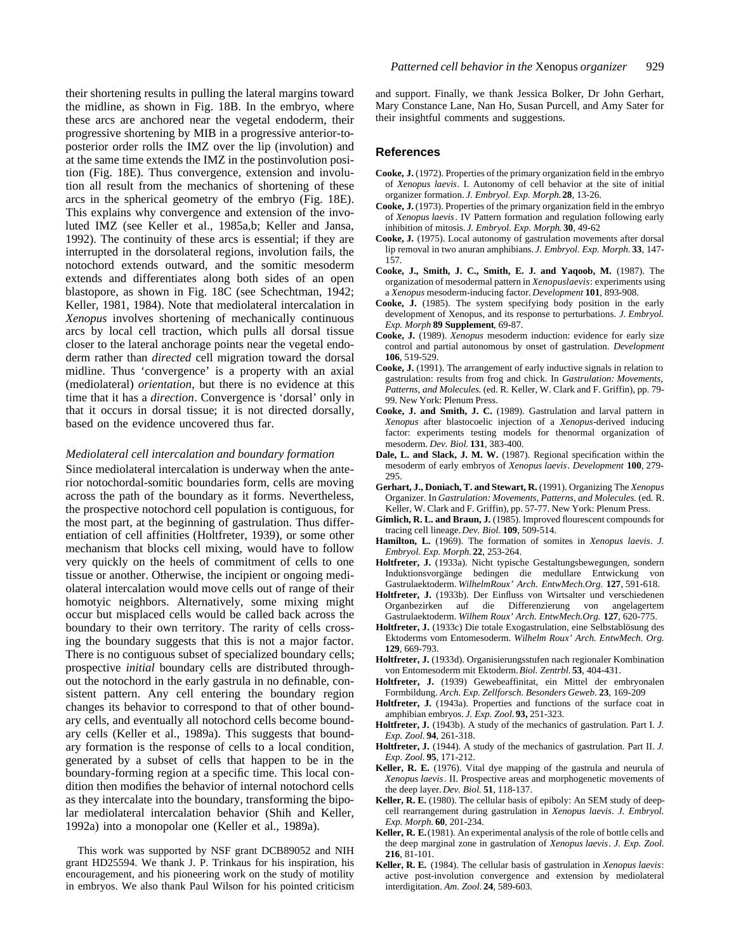their shortening results in pulling the lateral margins toward the midline, as shown in Fig. 18B. In the embryo, where these arcs are anchored near the vegetal endoderm, their progressive shortening by MIB in a progressive anterior-toposterior order rolls the IMZ over the lip (involution) and at the same time extends the IMZ in the postinvolution position (Fig. 18E). Thus convergence, extension and involution all result from the mechanics of shortening of these arcs in the spherical geometry of the embryo (Fig. 18E). This explains why convergence and extension of the involuted IMZ (see Keller et al., 1985a,b; Keller and Jansa, 1992). The continuity of these arcs is essential; if they are interrupted in the dorsolateral regions, involution fails, the notochord extends outward, and the somitic mesoderm extends and differentiates along both sides of an open blastopore, as shown in Fig. 18C (see Schechtman, 1942; Keller, 1981, 1984). Note that mediolateral intercalation in *Xenopus* involves shortening of mechanically continuous arcs by local cell traction, which pulls all dorsal tissue closer to the lateral anchorage points near the vegetal endoderm rather than *directed* cell migration toward the dorsal midline. Thus 'convergence' is a property with an axial (mediolateral) *orientation*, but there is no evidence at this time that it has a *direction*. Convergence is 'dorsal' only in that it occurs in dorsal tissue; it is not directed dorsally, based on the evidence uncovered thus far.

# *Mediolateral cell intercalation and boundary formation*

Since mediolateral intercalation is underway when the anterior notochordal-somitic boundaries form, cells are moving across the path of the boundary as it forms. Nevertheless, the prospective notochord cell population is contiguous, for the most part, at the beginning of gastrulation. Thus differentiation of cell affinities (Holtfreter, 1939), or some other mechanism that blocks cell mixing, would have to follow very quickly on the heels of commitment of cells to one tissue or another. Otherwise, the incipient or ongoing mediolateral intercalation would move cells out of range of their homotyic neighbors. Alternatively, some mixing might occur but misplaced cells would be called back across the boundary to their own territory. The rarity of cells crossing the boundary suggests that this is not a major factor. There is no contiguous subset of specialized boundary cells; prospective *initial* boundary cells are distributed throughout the notochord in the early gastrula in no definable, consistent pattern. Any cell entering the boundary region changes its behavior to correspond to that of other boundary cells, and eventually all notochord cells become boundary cells (Keller et al., 1989a). This suggests that boundary formation is the response of cells to a local condition, generated by a subset of cells that happen to be in the boundary-forming region at a specific time. This local condition then modifies the behavior of internal notochord cells as they intercalate into the boundary, transforming the bipolar mediolateral intercalation behavior (Shih and Keller, 1992a) into a monopolar one (Keller et al., 1989a).

This work was supported by NSF grant DCB89052 and NIH grant HD25594. We thank J. P. Trinkaus for his inspiration, his encouragement, and his pioneering work on the study of motility in embryos. We also thank Paul Wilson for his pointed criticism and support. Finally, we thank Jessica Bolker, Dr John Gerhart, Mary Constance Lane, Nan Ho, Susan Purcell, and Amy Sater for their insightful comments and suggestions.

#### **References**

- **Cooke, J.** (1972). Properties of the primary organization field in the embryo of *Xenopus laevis*. I. Autonomy of cell behavior at the site of initial organizer formation. *J. Embryol. Exp. Morph.***28**, 13-26.
- **Cooke, J.** (1973). Properties of the primary organization field in the embryo of *Xenopus laevis*. IV Pattern formation and regulation following early inhibition of mitosis. *J. Embryol. Exp. Morph*. **30**, 49-62
- **Cooke, J.** (1975). Local autonomy of gastrulation movements after dorsal lip removal in two anuran amphibians. *J. Embryol. Exp. Morph.* **33**, 147- 157.
- **Cooke, J., Smith, J. C., Smith, E. J. and Yaqoob, M.** (1987). The organization of mesodermal pattern in *Xenopuslaevis*: experiments using a *Xenopus* mesoderm-inducing factor. *Development* **101**, 893-908.
- **Cooke, J.** (1985). The system specifying body position in the early development of Xenopus, and its response to perturbations. *J. Embryol. Exp. Morph* **89 Supplement**, 69-87.
- **Cooke, J.** (1989). *Xenopus* mesoderm induction: evidence for early size control and partial autonomous by onset of gastrulation. *Development* **106**, 519-529.
- **Cooke, J.** (1991). The arrangement of early inductive signals in relation to gastrulation: results from frog and chick. In *Gastrulation: Movements, Patterns, and Molecules.* (ed. R. Keller, W. Clark and F. Griffin), pp. 79- 99. New York: Plenum Press.
- **Cooke, J. and Smith, J. C.** (1989). Gastrulation and larval pattern in *Xenopus* after blastocoelic injection of a *Xenopus*-derived inducing factor: experiments testing models for thenormal organization of mesoderm. *Dev. Biol.* **131**, 383-400.
- **Dale, L. and Slack, J. M. W.** (1987). Regional specification within the mesoderm of early embryos of *Xenopus laevis*. *Development* **100**, 279- 295.
- **Gerhart, J., Doniach, T. and Stewart, R.** (1991). Organizing The *Xenopus* Organizer. In *Gastrulation: Movements, Patterns, and Molecules.* (ed. R. Keller, W. Clark and F. Griffin), pp. 57-77. New York: Plenum Press.
- **Gimlich, R. L. and Braun, J.** (1985). Improved flourescent compounds for tracing cell lineage. *Dev. Biol.* **109**, 509-514.
- **Hamilton, L.** (1969). The formation of somites in *Xenopus laevis*. *J. Embryol. Exp. Morph.* **22**, 253-264.
- **Holtfreter, J.** (1933a). Nicht typische Gestaltungsbewegungen, sondern Induktionsvorgänge bedingen die medullare Entwickung von Gastrulaektoderm. *WilhelmRoux' Arch. EntwMech.Org.* **127**, 591-618.
- **Holtfreter, J.** (1933b). Der Einfluss von Wirtsalter und verschiedenen Organbezirken auf die Differenzierung von angelagertem Gastrulaektoderm. *Wilhem Roux' Arch. EntwMech.Org.* **127**, 620-775.
- **Holtfreter, J.** (1933c) Die totale Exogastrulation, eine Selbstablösung des Ektoderms vom Entomesoderm. *Wilhelm Roux' Arch. EntwMech. Org.* **129**, 669-793.
- **Holtfreter, J.** (1933d). Organisierungsstufen nach regionaler Kombination von Entomesoderm mit Ektoderm.*Biol. Zentrbl.* **53**, 404-431.
- **Holtfreter, J.** (1939) Gewebeaffinitat, ein Mittel der embryonalen Formbildung. *Arch. Exp. Zellforsch. Besonders Geweb*. **23**, 169-209
- **Holtfreter, J.** (1943a). Properties and functions of the surface coat in amphibian embryos. *J. Exp. Zool.* **93,** 251-323.
- **Holtfreter, J.** (1943b). A study of the mechanics of gastrulation. Part I. *J. Exp. Zool.* **94**, 261-318.
- **Holtfreter, J.** (1944). A study of the mechanics of gastrulation. Part II. *J. Exp. Zool.* **95**, 171-212.
- **Keller, R. E.** (1976). Vital dye mapping of the gastrula and neurula of *Xenopus laevis*. II. Prospective areas and morphogenetic movements of the deep layer. *Dev. Biol.* **51**, 118-137.
- **Keller, R. E.** (1980). The cellular basis of epiboly: An SEM study of deepcell rearrangement during gastrulation in *Xenopus laevis*. *J. Embryol. Exp. Morph.* **60**, 201-234.
- **Keller, R. E.**(1981). An experimental analysis of the role of bottle cells and the deep marginal zone in gastrulation of *Xenopus laevis*. *J. Exp. Zool.* **216**, 81-101.
- **Keller, R. E.** (1984). The cellular basis of gastrulation in *Xenopus laevis*: active post-involution convergence and extension by mediolateral interdigitation. *Am. Zool.* **24**, 589-603.